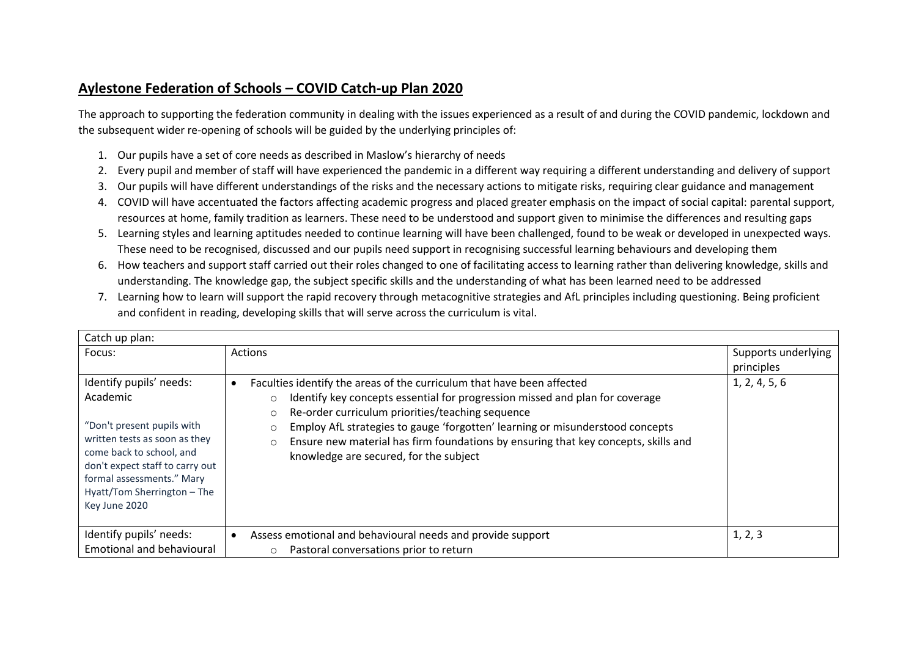## **Aylestone Federation of Schools – COVID Catch-up Plan 2020**

The approach to supporting the federation community in dealing with the issues experienced as a result of and during the COVID pandemic, lockdown and the subsequent wider re-opening of schools will be guided by the underlying principles of:

- 1. Our pupils have a set of core needs as described in Maslow's hierarchy of needs
- 2. Every pupil and member of staff will have experienced the pandemic in a different way requiring a different understanding and delivery of support
- 3. Our pupils will have different understandings of the risks and the necessary actions to mitigate risks, requiring clear guidance and management
- 4. COVID will have accentuated the factors affecting academic progress and placed greater emphasis on the impact of social capital: parental support, resources at home, family tradition as learners. These need to be understood and support given to minimise the differences and resulting gaps
- 5. Learning styles and learning aptitudes needed to continue learning will have been challenged, found to be weak or developed in unexpected ways. These need to be recognised, discussed and our pupils need support in recognising successful learning behaviours and developing them
- 6. How teachers and support staff carried out their roles changed to one of facilitating access to learning rather than delivering knowledge, skills and understanding. The knowledge gap, the subject specific skills and the understanding of what has been learned need to be addressed
- 7. Learning how to learn will support the rapid recovery through metacognitive strategies and AfL principles including questioning. Being proficient and confident in reading, developing skills that will serve across the curriculum is vital.

| Catch up plan:                                                                                                                                                                                                                                 |                                                                                                                                                                                                                                                                                                                                                                                                                                                                         |                                   |  |  |
|------------------------------------------------------------------------------------------------------------------------------------------------------------------------------------------------------------------------------------------------|-------------------------------------------------------------------------------------------------------------------------------------------------------------------------------------------------------------------------------------------------------------------------------------------------------------------------------------------------------------------------------------------------------------------------------------------------------------------------|-----------------------------------|--|--|
| Focus:                                                                                                                                                                                                                                         | <b>Actions</b>                                                                                                                                                                                                                                                                                                                                                                                                                                                          | Supports underlying<br>principles |  |  |
| Identify pupils' needs:<br>Academic<br>"Don't present pupils with<br>written tests as soon as they<br>come back to school, and<br>don't expect staff to carry out<br>formal assessments." Mary<br>Hyatt/Tom Sherrington - The<br>Key June 2020 | Faculties identify the areas of the curriculum that have been affected<br>Identify key concepts essential for progression missed and plan for coverage<br>$\circ$<br>Re-order curriculum priorities/teaching sequence<br>$\circ$<br>Employ AfL strategies to gauge 'forgotten' learning or misunderstood concepts<br>$\circ$<br>Ensure new material has firm foundations by ensuring that key concepts, skills and<br>$\circ$<br>knowledge are secured, for the subject | 1, 2, 4, 5, 6                     |  |  |
| Identify pupils' needs:                                                                                                                                                                                                                        | Assess emotional and behavioural needs and provide support                                                                                                                                                                                                                                                                                                                                                                                                              | 1, 2, 3                           |  |  |
| <b>Emotional and behavioural</b>                                                                                                                                                                                                               | Pastoral conversations prior to return<br>$\circ$                                                                                                                                                                                                                                                                                                                                                                                                                       |                                   |  |  |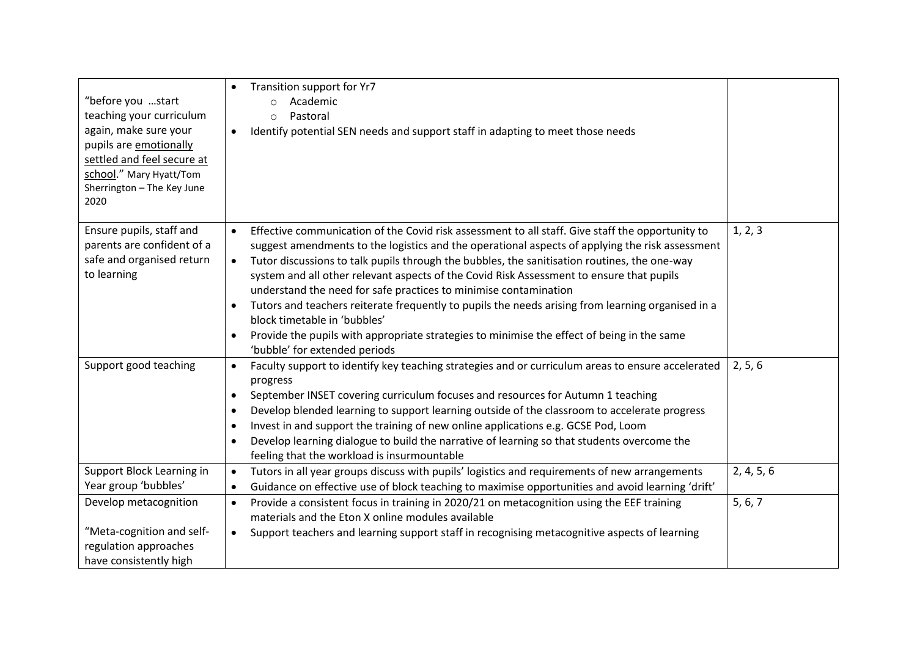| "before you start<br>teaching your curriculum<br>again, make sure your<br>pupils are emotionally<br>settled and feel secure at<br>school." Mary Hyatt/Tom<br>Sherrington - The Key June<br>2020 | Transition support for Yr7<br>Academic<br>$\circ$<br>Pastoral<br>$\circ$<br>Identify potential SEN needs and support staff in adapting to meet those needs<br>$\bullet$                                                                                                                                                                                                                                                                                                                                                                                                                                                                                                                                                                                   |            |
|-------------------------------------------------------------------------------------------------------------------------------------------------------------------------------------------------|-----------------------------------------------------------------------------------------------------------------------------------------------------------------------------------------------------------------------------------------------------------------------------------------------------------------------------------------------------------------------------------------------------------------------------------------------------------------------------------------------------------------------------------------------------------------------------------------------------------------------------------------------------------------------------------------------------------------------------------------------------------|------------|
| Ensure pupils, staff and<br>parents are confident of a<br>safe and organised return<br>to learning                                                                                              | Effective communication of the Covid risk assessment to all staff. Give staff the opportunity to<br>$\bullet$<br>suggest amendments to the logistics and the operational aspects of applying the risk assessment<br>Tutor discussions to talk pupils through the bubbles, the sanitisation routines, the one-way<br>system and all other relevant aspects of the Covid Risk Assessment to ensure that pupils<br>understand the need for safe practices to minimise contamination<br>Tutors and teachers reiterate frequently to pupils the needs arising from learning organised in a<br>block timetable in 'bubbles'<br>Provide the pupils with appropriate strategies to minimise the effect of being in the same<br>٠<br>'bubble' for extended periods | 1, 2, 3    |
| Support good teaching                                                                                                                                                                           | Faculty support to identify key teaching strategies and or curriculum areas to ensure accelerated<br>$\bullet$<br>progress<br>September INSET covering curriculum focuses and resources for Autumn 1 teaching<br>$\bullet$<br>Develop blended learning to support learning outside of the classroom to accelerate progress<br>$\bullet$<br>Invest in and support the training of new online applications e.g. GCSE Pod, Loom<br>٠<br>Develop learning dialogue to build the narrative of learning so that students overcome the<br>$\bullet$<br>feeling that the workload is insurmountable                                                                                                                                                               | 2, 5, 6    |
| Support Block Learning in<br>Year group 'bubbles'                                                                                                                                               | Tutors in all year groups discuss with pupils' logistics and requirements of new arrangements<br>$\bullet$<br>Guidance on effective use of block teaching to maximise opportunities and avoid learning 'drift'<br>$\bullet$                                                                                                                                                                                                                                                                                                                                                                                                                                                                                                                               | 2, 4, 5, 6 |
| Develop metacognition<br>"Meta-cognition and self-<br>regulation approaches<br>have consistently high                                                                                           | Provide a consistent focus in training in 2020/21 on metacognition using the EEF training<br>$\bullet$<br>materials and the Eton X online modules available<br>Support teachers and learning support staff in recognising metacognitive aspects of learning<br>$\bullet$                                                                                                                                                                                                                                                                                                                                                                                                                                                                                  | 5, 6, 7    |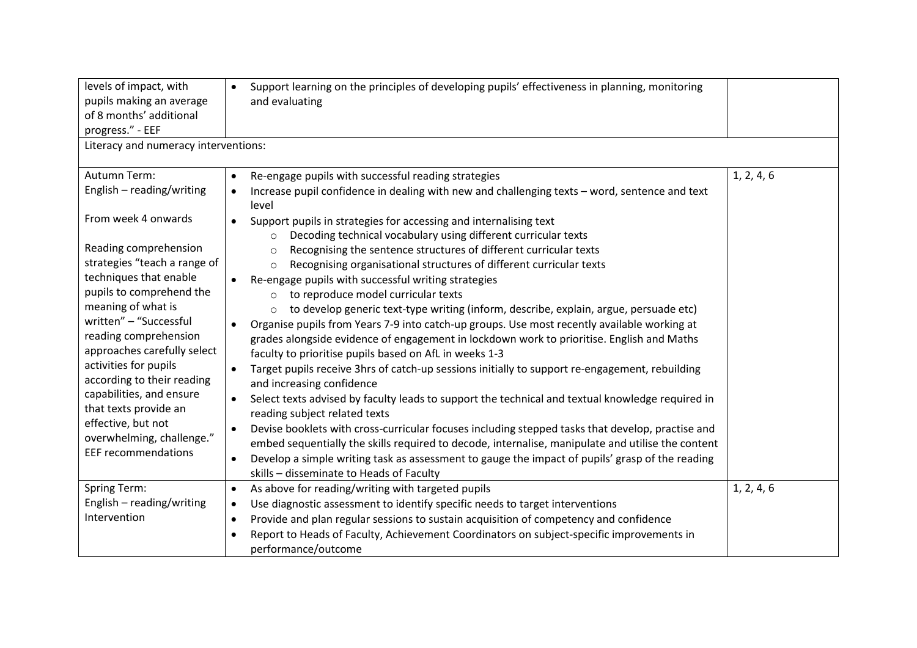| levels of impact, with<br>pupils making an average<br>of 8 months' additional<br>progress." - EEF<br>Literacy and numeracy interventions:                                                                                                                                                                                                                                                                                               | Support learning on the principles of developing pupils' effectiveness in planning, monitoring<br>$\bullet$<br>and evaluating                                                                                                                                                                                                                                                                                                                                                                                                                                                                                                                                                                                                                                                                                                                                                                                                                                                                                                                                                                                                                                                                                                                                                                                                                                                                                                                                                         |            |
|-----------------------------------------------------------------------------------------------------------------------------------------------------------------------------------------------------------------------------------------------------------------------------------------------------------------------------------------------------------------------------------------------------------------------------------------|---------------------------------------------------------------------------------------------------------------------------------------------------------------------------------------------------------------------------------------------------------------------------------------------------------------------------------------------------------------------------------------------------------------------------------------------------------------------------------------------------------------------------------------------------------------------------------------------------------------------------------------------------------------------------------------------------------------------------------------------------------------------------------------------------------------------------------------------------------------------------------------------------------------------------------------------------------------------------------------------------------------------------------------------------------------------------------------------------------------------------------------------------------------------------------------------------------------------------------------------------------------------------------------------------------------------------------------------------------------------------------------------------------------------------------------------------------------------------------------|------------|
|                                                                                                                                                                                                                                                                                                                                                                                                                                         |                                                                                                                                                                                                                                                                                                                                                                                                                                                                                                                                                                                                                                                                                                                                                                                                                                                                                                                                                                                                                                                                                                                                                                                                                                                                                                                                                                                                                                                                                       |            |
| Autumn Term:<br>English - reading/writing                                                                                                                                                                                                                                                                                                                                                                                               | Re-engage pupils with successful reading strategies<br>Increase pupil confidence in dealing with new and challenging texts - word, sentence and text<br>level                                                                                                                                                                                                                                                                                                                                                                                                                                                                                                                                                                                                                                                                                                                                                                                                                                                                                                                                                                                                                                                                                                                                                                                                                                                                                                                         | 1, 2, 4, 6 |
| From week 4 onwards<br>Reading comprehension<br>strategies "teach a range of<br>techniques that enable<br>pupils to comprehend the<br>meaning of what is<br>written" - "Successful<br>reading comprehension<br>approaches carefully select<br>activities for pupils<br>according to their reading<br>capabilities, and ensure<br>that texts provide an<br>effective, but not<br>overwhelming, challenge."<br><b>EEF recommendations</b> | Support pupils in strategies for accessing and internalising text<br>$\bullet$<br>Decoding technical vocabulary using different curricular texts<br>$\circ$<br>Recognising the sentence structures of different curricular texts<br>$\circ$<br>Recognising organisational structures of different curricular texts<br>$\circ$<br>Re-engage pupils with successful writing strategies<br>to reproduce model curricular texts<br>$\circ$<br>to develop generic text-type writing (inform, describe, explain, argue, persuade etc)<br>$\circ$<br>Organise pupils from Years 7-9 into catch-up groups. Use most recently available working at<br>$\bullet$<br>grades alongside evidence of engagement in lockdown work to prioritise. English and Maths<br>faculty to prioritise pupils based on AfL in weeks 1-3<br>Target pupils receive 3hrs of catch-up sessions initially to support re-engagement, rebuilding<br>$\bullet$<br>and increasing confidence<br>Select texts advised by faculty leads to support the technical and textual knowledge required in<br>$\bullet$<br>reading subject related texts<br>Devise booklets with cross-curricular focuses including stepped tasks that develop, practise and<br>٠<br>embed sequentially the skills required to decode, internalise, manipulate and utilise the content<br>Develop a simple writing task as assessment to gauge the impact of pupils' grasp of the reading<br>$\bullet$<br>skills - disseminate to Heads of Faculty |            |
| <b>Spring Term:</b><br>English - reading/writing<br>Intervention                                                                                                                                                                                                                                                                                                                                                                        | As above for reading/writing with targeted pupils<br>$\bullet$<br>Use diagnostic assessment to identify specific needs to target interventions<br>$\bullet$<br>Provide and plan regular sessions to sustain acquisition of competency and confidence<br>$\bullet$<br>Report to Heads of Faculty, Achievement Coordinators on subject-specific improvements in<br>$\bullet$<br>performance/outcome                                                                                                                                                                                                                                                                                                                                                                                                                                                                                                                                                                                                                                                                                                                                                                                                                                                                                                                                                                                                                                                                                     | 1, 2, 4, 6 |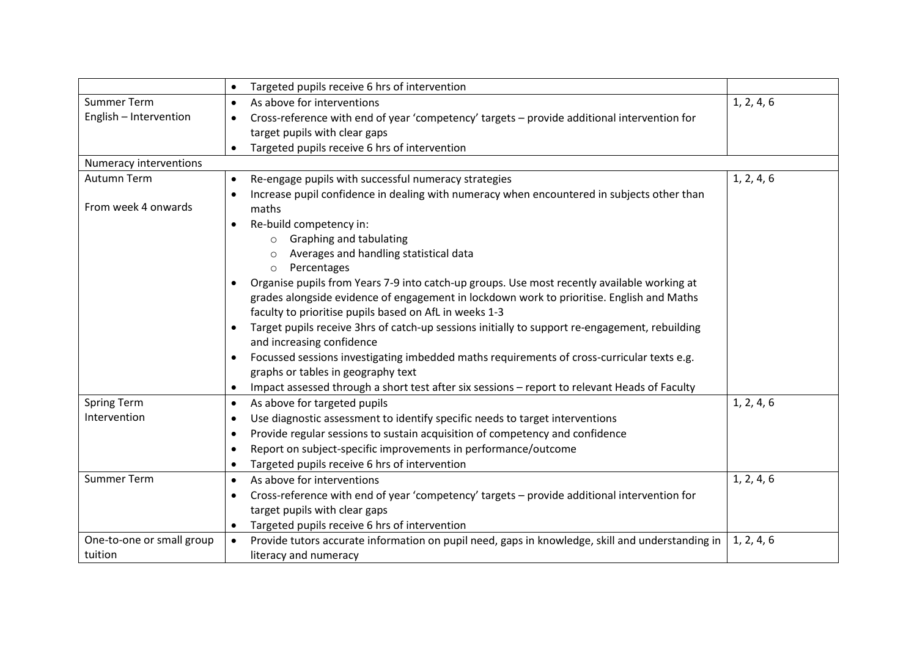|                           | Targeted pupils receive 6 hrs of intervention<br>$\bullet$                                                  |            |
|---------------------------|-------------------------------------------------------------------------------------------------------------|------------|
| <b>Summer Term</b>        | As above for interventions<br>$\bullet$                                                                     | 1, 2, 4, 6 |
| English - Intervention    | Cross-reference with end of year 'competency' targets - provide additional intervention for<br>$\bullet$    |            |
|                           | target pupils with clear gaps                                                                               |            |
|                           | Targeted pupils receive 6 hrs of intervention                                                               |            |
| Numeracy interventions    |                                                                                                             |            |
| Autumn Term               | Re-engage pupils with successful numeracy strategies                                                        | 1, 2, 4, 6 |
|                           | Increase pupil confidence in dealing with numeracy when encountered in subjects other than<br>٠             |            |
| From week 4 onwards       | maths                                                                                                       |            |
|                           | Re-build competency in:                                                                                     |            |
|                           | <b>Graphing and tabulating</b>                                                                              |            |
|                           | Averages and handling statistical data                                                                      |            |
|                           | Percentages<br>$\circ$                                                                                      |            |
|                           | Organise pupils from Years 7-9 into catch-up groups. Use most recently available working at                 |            |
|                           | grades alongside evidence of engagement in lockdown work to prioritise. English and Maths                   |            |
|                           | faculty to prioritise pupils based on AfL in weeks 1-3                                                      |            |
|                           | Target pupils receive 3hrs of catch-up sessions initially to support re-engagement, rebuilding<br>$\bullet$ |            |
|                           | and increasing confidence                                                                                   |            |
|                           | Focussed sessions investigating imbedded maths requirements of cross-curricular texts e.g.<br>$\bullet$     |            |
|                           | graphs or tables in geography text                                                                          |            |
|                           | Impact assessed through a short test after six sessions - report to relevant Heads of Faculty<br>٠          |            |
| <b>Spring Term</b>        | As above for targeted pupils<br>$\bullet$                                                                   | 1, 2, 4, 6 |
| Intervention              | Use diagnostic assessment to identify specific needs to target interventions<br>٠                           |            |
|                           | Provide regular sessions to sustain acquisition of competency and confidence<br>٠                           |            |
|                           | Report on subject-specific improvements in performance/outcome<br>$\bullet$                                 |            |
|                           | Targeted pupils receive 6 hrs of intervention<br>$\bullet$                                                  |            |
| <b>Summer Term</b>        | As above for interventions<br>$\bullet$                                                                     | 1, 2, 4, 6 |
|                           | Cross-reference with end of year 'competency' targets - provide additional intervention for<br>$\bullet$    |            |
|                           | target pupils with clear gaps                                                                               |            |
|                           | Targeted pupils receive 6 hrs of intervention<br>٠                                                          |            |
| One-to-one or small group | Provide tutors accurate information on pupil need, gaps in knowledge, skill and understanding in            | 1, 2, 4, 6 |
| tuition                   | literacy and numeracy                                                                                       |            |